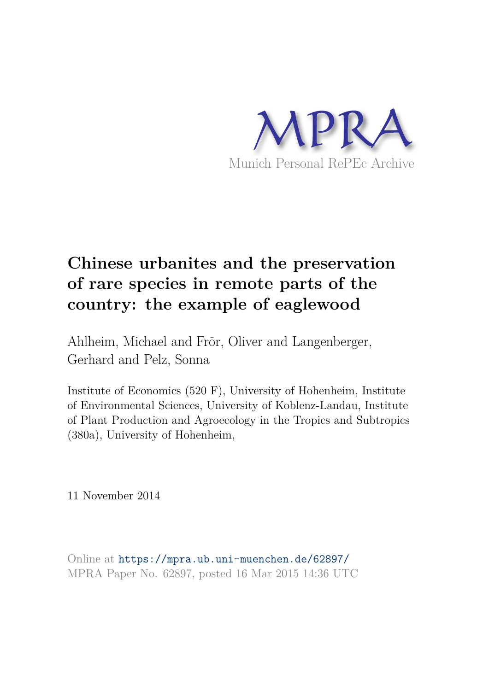

# **Chinese urbanites and the preservation of rare species in remote parts of the country: the example of eaglewood**

Ahlheim, Michael and Frör, Oliver and Langenberger, Gerhard and Pelz, Sonna

Institute of Economics (520 F), University of Hohenheim, Institute of Environmental Sciences, University of Koblenz-Landau, Institute of Plant Production and Agroecology in the Tropics and Subtropics (380a), University of Hohenheim,

11 November 2014

Online at https://mpra.ub.uni-muenchen.de/62897/ MPRA Paper No. 62897, posted 16 Mar 2015 14:36 UTC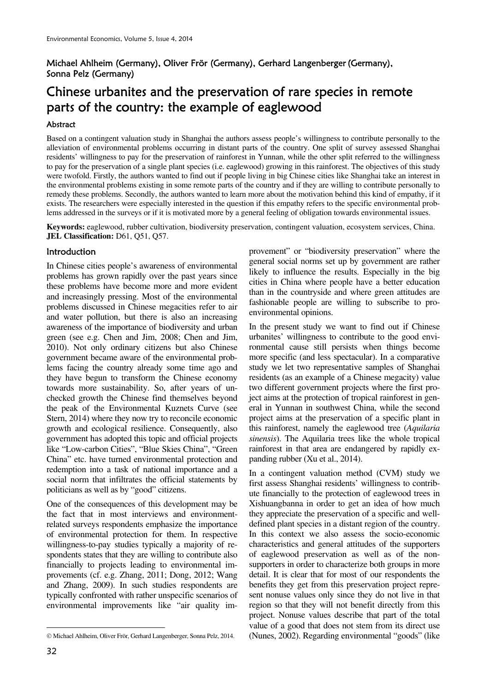# Michael Ahlheim (Germany), Oliver Frör (Germany), Gerhard Langenberger (Germany), Sonna Pelz (Germany)

# Chinese urbanites and the preservation of rare species in remote parts of the country: the example of eaglewood

### Abstract

Based on a contingent valuation study in Shanghai the authors assess people's willingness to contribute personally to the alleviation of environmental problems occurring in distant parts of the country. One split of survey assessed Shanghai residents' willingness to pay for the preservation of rainforest in Yunnan, while the other split referred to the willingness to pay for the preservation of a single plant species (i.e. eaglewood) growing in this rainforest. The objectives of this study were twofold. Firstly, the authors wanted to find out if people living in big Chinese cities like Shanghai take an interest in the environmental problems existing in some remote parts of the country and if they are willing to contribute personally to remedy these problems. Secondly, the authors wanted to learn more about the motivation behind this kind of empathy, if it exists. The researchers were especially interested in the question if this empathy refers to the specific environmental problems addressed in the surveys or if it is motivated more by a general feeling of obligation towards environmental issues.

**Keywords:** eaglewood, rubber cultivation, biodiversity preservation, contingent valuation, ecosystem services, China. **JEL Classification:** D61, Q51, Q57.

# **Introduction**

In Chinese cities people's awareness of environmental problems has grown rapidly over the past years since these problems have become more and more evident and increasingly pressing. Most of the environmental problems discussed in Chinese megacities refer to air and water pollution, but there is also an increasing awareness of the importance of biodiversity and urban green (see e.g. Chen and Jim, 2008; Chen and Jim, 2010). Not only ordinary citizens but also Chinese government became aware of the environmental problems facing the country already some time ago and they have begun to transform the Chinese economy towards more sustainability. So, after years of unchecked growth the Chinese find themselves beyond the peak of the Environmental Kuznets Curve (see Stern, 2014) where they now try to reconcile economic growth and ecological resilience. Consequently, also government has adopted this topic and official projects like "Low-carbon Cities", "Blue Skies China", "Green China" etc. have turned environmental protection and redemption into a task of national importance and a social norm that infiltrates the official statements by politicians as well as by "good" citizens.

One of the consequences of this development may be the fact that in most interviews and environmentrelated surveys respondents emphasize the importance of environmental protection for them. In respective willingness-to-pay studies typically a majority of respondents states that they are willing to contribute also financially to projects leading to environmental improvements (cf. e.g. Zhang, 2011; Dong, 2012; Wang and Zhang, 2009). In such studies respondents are typically confronted with rather unspecific scenarios of environmental improvements like "air quality improvement" or "biodiversity preservation" where the general social norms set up by government are rather likely to influence the results. Especially in the big cities in China where people have a better education than in the countryside and where green attitudes are fashionable people are willing to subscribe to proenvironmental opinions.

In the present study we want to find out if Chinese urbanites' willingness to contribute to the good environmental cause still persists when things become more specific (and less spectacular). In a comparative study we let two representative samples of Shanghai residents (as an example of a Chinese megacity) value two different government projects where the first project aims at the protection of tropical rainforest in general in Yunnan in southwest China, while the second project aims at the preservation of a specific plant in this rainforest, namely the eaglewood tree (*Aquilaria sinensis*). The Aquilaria trees like the whole tropical rainforest in that area are endangered by rapidly expanding rubber (Xu et al., 2014).

In a contingent valuation method (CVM) study we first assess Shanghai residents' willingness to contribute financially to the protection of eaglewood trees in Xishuangbanna in order to get an idea of how much they appreciate the preservation of a specific and welldefined plant species in a distant region of the country. In this context we also assess the socio-economic characteristics and general attitudes of the supporters of eaglewood preservation as well as of the nonsupporters in order to characterize both groups in more detail. It is clear that for most of our respondents the benefits they get from this preservation project represent nonuse values only since they do not live in that region so that they will not benefit directly from this project. Nonuse values describe that part of the total value of a good that does not stem from its direct use (Nunes, 2002). Regarding environmental "goods" (like

 $\overline{a}$ © Michael Ahlheim, Oliver Frör, Gerhard Langenberger, Sonna Pelz, 2014.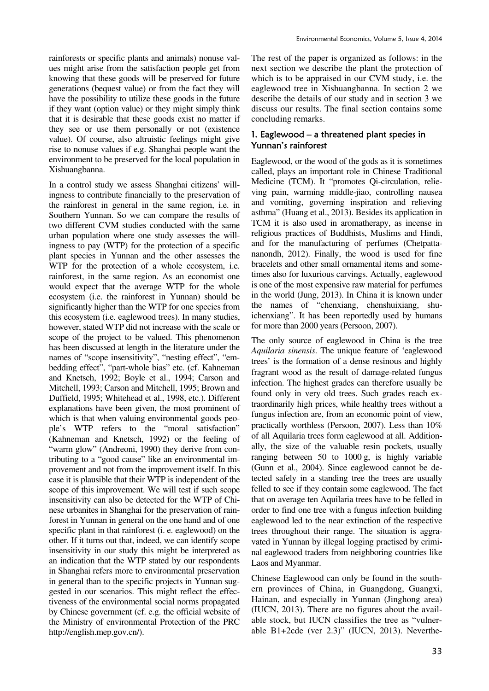rainforests or specific plants and animals) nonuse values might arise from the satisfaction people get from knowing that these goods will be preserved for future generations (bequest value) or from the fact they will have the possibility to utilize these goods in the future if they want (option value) or they might simply think that it is desirable that these goods exist no matter if they see or use them personally or not (existence value). Of course, also altruistic feelings might give rise to nonuse values if e.g. Shanghai people want the environment to be preserved for the local population in Xishuangbanna.

In a control study we assess Shanghai citizens' willingness to contribute financially to the preservation of the rainforest in general in the same region, i.e. in Southern Yunnan. So we can compare the results of two different CVM studies conducted with the same urban population where one study assesses the willingness to pay (WTP) for the protection of a specific plant species in Yunnan and the other assesses the WTP for the protection of a whole ecosystem, i.e. rainforest, in the same region. As an economist one would expect that the average WTP for the whole ecosystem (i.e. the rainforest in Yunnan) should be significantly higher than the WTP for one species from this ecosystem (i.e. eaglewood trees). In many studies, however, stated WTP did not increase with the scale or scope of the project to be valued. This phenomenon has been discussed at length in the literature under the names of "scope insensitivity", "nesting effect", "embedding effect", "part-whole bias" etc. (cf. Kahneman and Knetsch, 1992; Boyle et al., 1994; Carson and Mitchell, 1993; Carson and Mitchell, 1995; Brown and Duffield, 1995; Whitehead et al., 1998, etc.). Different explanations have been given, the most prominent of which is that when valuing environmental goods people's WTP refers to the "moral satisfaction" (Kahneman and Knetsch, 1992) or the feeling of "warm glow" (Andreoni, 1990) they derive from contributing to a "good cause" like an environmental improvement and not from the improvement itself. In this case it is plausible that their WTP is independent of the scope of this improvement. We will test if such scope insensitivity can also be detected for the WTP of Chinese urbanites in Shanghai for the preservation of rainforest in Yunnan in general on the one hand and of one specific plant in that rainforest (i. e. eaglewood) on the other. If it turns out that, indeed, we can identify scope insensitivity in our study this might be interpreted as an indication that the WTP stated by our respondents in Shanghai refers more to environmental preservation in general than to the specific projects in Yunnan suggested in our scenarios. This might reflect the effectiveness of the environmental social norms propagated by Chinese government (cf. e.g. the official website of the Ministry of environmental Protection of the PRC http://english.mep.gov.cn/).

The rest of the paper is organized as follows: in the next section we describe the plant the protection of which is to be appraised in our CVM study, i.e. the eaglewood tree in Xishuangbanna. In section 2 we describe the details of our study and in section 3 we discuss our results. The final section contains some concluding remarks.

### 1. Eaglewood – a threatened plant species in Yunnan's rainforest

Eaglewood, or the wood of the gods as it is sometimes called, plays an important role in Chinese Traditional Medicine (TCM). It "promotes Qi-circulation, relieving pain, warming middle-jiao, controlling nausea and vomiting, governing inspiration and relieving asthma" (Huang et al., 2013). Besides its application in TCM it is also used in aromatherapy, as incense in religious practices of Buddhists, Muslims and Hindi, and for the manufacturing of perfumes (Chetpattananondh, 2012). Finally, the wood is used for fine bracelets and other small ornamental items and sometimes also for luxurious carvings. Actually, eaglewood is one of the most expensive raw material for perfumes in the world (Jung, 2013). In China it is known under the names of "chenxiang, chenshuixiang, shuichenxiang". It has been reportedly used by humans for more than 2000 years (Persoon, 2007).

The only source of eaglewood in China is the tree *Aquilaria sinensis*. The unique feature of 'eaglewood trees' is the formation of a dense resinous and highly fragrant wood as the result of damage-related fungus infection. The highest grades can therefore usually be found only in very old trees. Such grades reach extraordinarily high prices, while healthy trees without a fungus infection are, from an economic point of view, practically worthless (Persoon, 2007). Less than 10% of all Aquilaria trees form eaglewood at all. Additionally, the size of the valuable resin pockets, usually ranging between 50 to 1000 g, is highly variable (Gunn et al., 2004). Since eaglewood cannot be detected safely in a standing tree the trees are usually felled to see if they contain some eaglewood. The fact that on average ten Aquilaria trees have to be felled in order to find one tree with a fungus infection building eaglewood led to the near extinction of the respective trees throughout their range. The situation is aggravated in Yunnan by illegal logging practised by criminal eaglewood traders from neighboring countries like Laos and Myanmar.

Chinese Eaglewood can only be found in the southern provinces of China, in Guangdong, Guangxi, Hainan, and especially in Yunnan (Jinghong area) (IUCN, 2013). There are no figures about the available stock, but IUCN classifies the tree as "vulnerable B1+2cde (ver 2.3)" (IUCN, 2013). Neverthe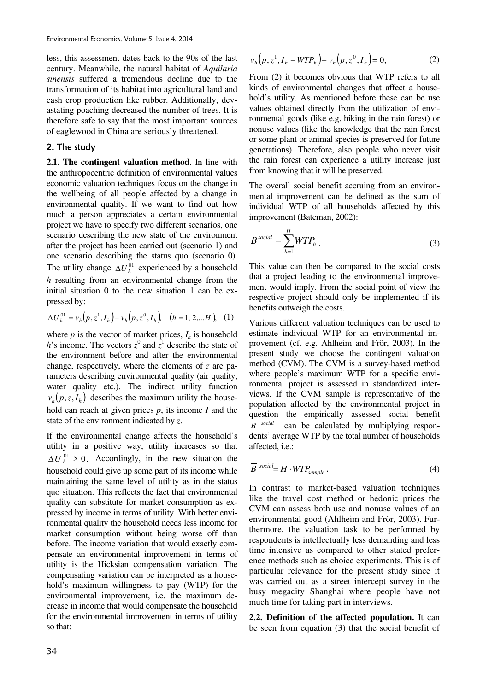less, this assessment dates back to the 90s of the last century. Meanwhile, the natural habitat of *Aquilaria sinensis* suffered a tremendous decline due to the transformation of its habitat into agricultural land and cash crop production like rubber. Additionally, devastating poaching decreased the number of trees. It is therefore safe to say that the most important sources of eaglewood in China are seriously threatened.

#### 2. The study

**2.1. The contingent valuation method.** In line with the anthropocentric definition of environmental values economic valuation techniques focus on the change in the wellbeing of all people affected by a change in environmental quality. If we want to find out how much a person appreciates a certain environmental project we have to specify two different scenarios, one scenario describing the new state of the environment after the project has been carried out (scenario 1) and one scenario describing the status quo (scenario 0). The utility change  $\Delta U_h^{01}$  experienced by a household *h* resulting from an environmental change from the initial situation 0 to the new situation 1 can be expressed by:

$$
\Delta U_h^{01} = v_h(p, z^1, I_h) - v_h(p, z^0, I_h) \quad (h = 1, 2, \dots H), \tag{1}
$$

where  $p$  is the vector of market prices,  $I_h$  is household *h*'s income. The vectors  $z^0$  and  $\overline{z}^1$  describe the state of the environment before and after the environmental change, respectively, where the elements of *z* are parameters describing environmental quality (air quality, water quality etc.). The indirect utility function  $v_h(p, z, I_h)$  describes the maximum utility the household can reach at given prices *p*, its income *I* and the state of the environment indicated by *z*.

If the environmental change affects the household's utility in a positive way, utility increases so that  $\Delta U_h^{01} > 0$ . Accordingly, in the new situation the household could give up some part of its income while maintaining the same level of utility as in the status quo situation. This reflects the fact that environmental quality can substitute for market consumption as expressed by income in terms of utility. With better environmental quality the household needs less income for market consumption without being worse off than before. The income variation that would exactly compensate an environmental improvement in terms of utility is the Hicksian compensation variation. The compensating variation can be interpreted as a household's maximum willingness to pay (WTP) for the environmental improvement, i.e. the maximum decrease in income that would compensate the household for the environmental improvement in terms of utility so that:

$$
v_h(p, z^1, I_h - WTP_h) - v_h(p, z^0, I_h) = 0,
$$
 (2)

From (2) it becomes obvious that WTP refers to all kinds of environmental changes that affect a household's utility. As mentioned before these can be use values obtained directly from the utilization of environmental goods (like e.g. hiking in the rain forest) or nonuse values (like the knowledge that the rain forest or some plant or animal species is preserved for future generations). Therefore, also people who never visit the rain forest can experience a utility increase just from knowing that it will be preserved.

The overall social benefit accruing from an environmental improvement can be defined as the sum of individual WTP of all households affected by this improvement (Bateman, 2002):

$$
B^{social} = \sum_{h=1}^{H} WTP_h . \tag{3}
$$

This value can then be compared to the social costs that a project leading to the environmental improvement would imply. From the social point of view the respective project should only be implemented if its benefits outweigh the costs.

Various different valuation techniques can be used to estimate individual WTP for an environmental improvement (cf. e.g. Ahlheim and Frör, 2003). In the present study we choose the contingent valuation method (CVM). The CVM is a survey-based method where people's maximum WTP for a specific environmental project is assessed in standardized interviews. If the CVM sample is representative of the population affected by the environmental project in question the empirically assessed social benefit  $\overline{B}$ <sup>social</sup> can be calculated by multiplying respondents' average WTP by the total number of households affected, i.e.:

$$
\overline{B}^{social} = H \cdot \overline{WTP_{sample}} \tag{4}
$$

In contrast to market-based valuation techniques like the travel cost method or hedonic prices the CVM can assess both use and nonuse values of an environmental good (Ahlheim and Frör, 2003). Furthermore, the valuation task to be performed by respondents is intellectually less demanding and less time intensive as compared to other stated preference methods such as choice experiments. This is of particular relevance for the present study since it was carried out as a street intercept survey in the busy megacity Shanghai where people have not much time for taking part in interviews.

**2.2. Definition of the affected population.** It can be seen from equation (3) that the social benefit of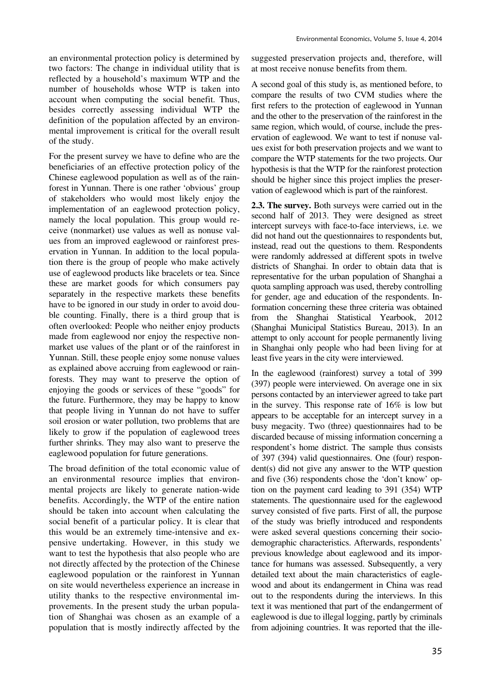an environmental protection policy is determined by two factors: The change in individual utility that is reflected by a household's maximum WTP and the number of households whose WTP is taken into account when computing the social benefit. Thus, besides correctly assessing individual WTP the definition of the population affected by an environmental improvement is critical for the overall result of the study.

For the present survey we have to define who are the beneficiaries of an effective protection policy of the Chinese eaglewood population as well as of the rainforest in Yunnan. There is one rather 'obvious' group of stakeholders who would most likely enjoy the implementation of an eaglewood protection policy, namely the local population. This group would receive (nonmarket) use values as well as nonuse values from an improved eaglewood or rainforest preservation in Yunnan. In addition to the local population there is the group of people who make actively use of eaglewood products like bracelets or tea. Since these are market goods for which consumers pay separately in the respective markets these benefits have to be ignored in our study in order to avoid double counting. Finally, there is a third group that is often overlooked: People who neither enjoy products made from eaglewood nor enjoy the respective nonmarket use values of the plant or of the rainforest in Yunnan. Still, these people enjoy some nonuse values as explained above accruing from eaglewood or rainforests. They may want to preserve the option of enjoying the goods or services of these "goods" for the future. Furthermore, they may be happy to know that people living in Yunnan do not have to suffer soil erosion or water pollution, two problems that are likely to grow if the population of eaglewood trees further shrinks. They may also want to preserve the eaglewood population for future generations.

The broad definition of the total economic value of an environmental resource implies that environmental projects are likely to generate nation-wide benefits. Accordingly, the WTP of the entire nation should be taken into account when calculating the social benefit of a particular policy. It is clear that this would be an extremely time-intensive and expensive undertaking. However, in this study we want to test the hypothesis that also people who are not directly affected by the protection of the Chinese eaglewood population or the rainforest in Yunnan on site would nevertheless experience an increase in utility thanks to the respective environmental improvements. In the present study the urban population of Shanghai was chosen as an example of a population that is mostly indirectly affected by the

suggested preservation projects and, therefore, will at most receive nonuse benefits from them.

A second goal of this study is, as mentioned before, to compare the results of two CVM studies where the first refers to the protection of eaglewood in Yunnan and the other to the preservation of the rainforest in the same region, which would, of course, include the preservation of eaglewood. We want to test if nonuse values exist for both preservation projects and we want to compare the WTP statements for the two projects. Our hypothesis is that the WTP for the rainforest protection should be higher since this project implies the preservation of eaglewood which is part of the rainforest.

**2.3. The survey.** Both surveys were carried out in the second half of 2013. They were designed as street intercept surveys with face-to-face interviews, i.e. we did not hand out the questionnaires to respondents but, instead, read out the questions to them. Respondents were randomly addressed at different spots in twelve districts of Shanghai. In order to obtain data that is representative for the urban population of Shanghai a quota sampling approach was used, thereby controlling for gender, age and education of the respondents. Information concerning these three criteria was obtained from the Shanghai Statistical Yearbook, 2012 (Shanghai Municipal Statistics Bureau, 2013). In an attempt to only account for people permanently living in Shanghai only people who had been living for at least five years in the city were interviewed.

In the eaglewood (rainforest) survey a total of 399 (397) people were interviewed. On average one in six persons contacted by an interviewer agreed to take part in the survey. This response rate of 16% is low but appears to be acceptable for an intercept survey in a busy megacity. Two (three) questionnaires had to be discarded because of missing information concerning a respondent's home district. The sample thus consists of 397 (394) valid questionnaires. One (four) respondent(s) did not give any answer to the WTP question and five (36) respondents chose the 'don't know' option on the payment card leading to 391 (354) WTP statements. The questionnaire used for the eaglewood survey consisted of five parts. First of all, the purpose of the study was briefly introduced and respondents were asked several questions concerning their sociodemographic characteristics. Afterwards, respondents' previous knowledge about eaglewood and its importance for humans was assessed. Subsequently, a very detailed text about the main characteristics of eaglewood and about its endangerment in China was read out to the respondents during the interviews. In this text it was mentioned that part of the endangerment of eaglewood is due to illegal logging, partly by criminals from adjoining countries. It was reported that the ille-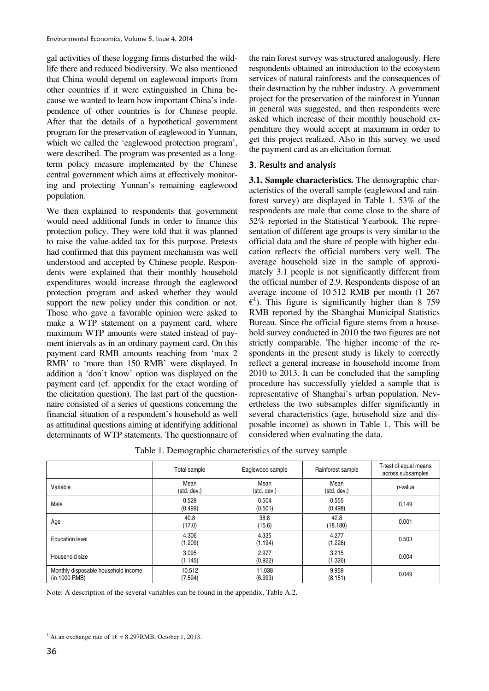gal activities of these logging firms disturbed the wildlife there and reduced biodiversity. We also mentioned that China would depend on eaglewood imports from other countries if it were extinguished in China because we wanted to learn how important China's independence of other countries is for Chinese people. After that the details of a hypothetical government program for the preservation of eaglewood in Yunnan, which we called the 'eaglewood protection program', were described. The program was presented as a longterm policy measure implemented by the Chinese central government which aims at effectively monitoring and protecting Yunnan's remaining eaglewood population.

We then explained to respondents that government would need additional funds in order to finance this protection policy. They were told that it was planned to raise the value-added tax for this purpose. Pretests had confirmed that this payment mechanism was well understood and accepted by Chinese people. Respondents were explained that their monthly household expenditures would increase through the eaglewood protection program and asked whether they would support the new policy under this condition or not. Those who gave a favorable opinion were asked to make a WTP statement on a payment card, where maximum WTP amounts were stated instead of payment intervals as in an ordinary payment card. On this payment card RMB amounts reaching from 'max 2 RMB' to 'more than 150 RMB' were displayed. In addition a 'don't know' option was displayed on the payment card (cf. appendix for the exact wording of the elicitation question). The last part of the questionnaire consisted of a series of questions concerning the financial situation of a respondent's household as well as attitudinal questions aiming at identifying additional determinants of WTP statements. The questionnaire of the rain forest survey was structured analogously. Here respondents obtained an introduction to the ecosystem services of natural rainforests and the consequences of their destruction by the rubber industry. A government project for the preservation of the rainforest in Yunnan in general was suggested, and then respondents were asked which increase of their monthly household expenditure they would accept at maximum in order to get this project realized. Also in this survey we used the payment card as an elicitation format.

# 3. Results and analysis

**3.1. Sample characteristics.** The demographic characteristics of the overall sample (eaglewood and rainforest survey) are displayed in Table 1. 53% of the respondents are male that come close to the share of 52% reported in the Statistical Yearbook. The representation of different age groups is very similar to the official data and the share of people with higher education reflects the official numbers very well. The average household size in the sample of approximately 3.1 people is not significantly different from the official number of 2.9. Respondents dispose of an average income of 10 512 RMB per month (1 267  $\epsilon$ <sup>1</sup>). This figure is significantly higher than 8 759 RMB reported by the Shanghai Municipal Statistics Bureau. Since the official figure stems from a household survey conducted in 2010 the two figures are not strictly comparable. The higher income of the respondents in the present study is likely to correctly reflect a general increase in household income from 2010 to 2013. It can be concluded that the sampling procedure has successfully yielded a sample that is representative of Shanghai's urban population. Nevertheless the two subsamples differ significantly in several characteristics (age, household size and disposable income) as shown in Table 1. This will be considered when evaluating the data.

Table 1. Demographic characteristics of the survey sample

|                                                      | Total sample        | Eaglewood sample    | Rainforest sample   | T-test of equal means<br>across subsamples |
|------------------------------------------------------|---------------------|---------------------|---------------------|--------------------------------------------|
| Variable                                             | Mean<br>(std. dev.) | Mean<br>(std. dev.) | Mean<br>(std. dev.) | p-value                                    |
| Male                                                 | 0.529<br>(0.499)    | 0.504<br>(0.501)    | 0.555<br>(0.498)    | 0.149                                      |
| Age                                                  | 40.8<br>(17.0)      | 38.8<br>(15.6)      | 42.8<br>(18.180)    | 0.001                                      |
| <b>Education level</b>                               | 4.306<br>(1.209)    | 4.335<br>(1.194)    | 4.277<br>(1.226)    | 0.503                                      |
| Household size                                       | 3.095<br>(1.145)    | 2.977<br>(0.922)    | 3.215<br>(1.326)    | 0.004                                      |
| Monthly disposable household income<br>(in 1000 RMB) | 10.512<br>(7.594)   | 11.038<br>(6.993)   | 9.959<br>(8.151)    | 0.049                                      |

Note: A description of the several variables can be found in the appendix, Table A.2.

 $\overline{a}$ <sup>1</sup> At an exchange rate of  $1 \in 8.297$ RMB, October 1, 2013.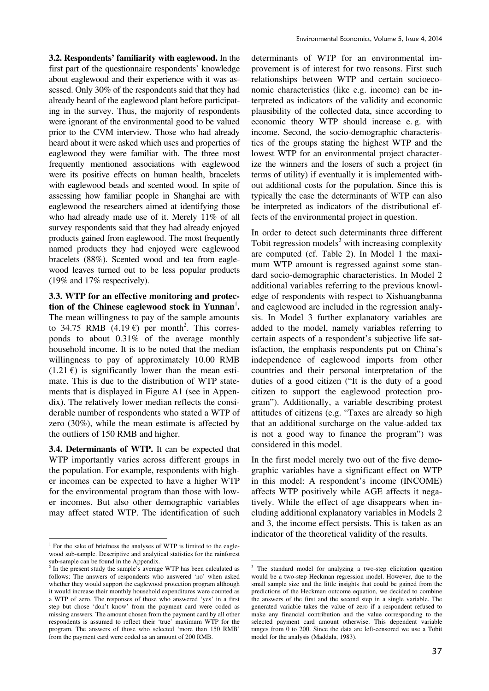**3.2. Respondents' familiarity with eaglewood.** In the first part of the questionnaire respondents' knowledge about eaglewood and their experience with it was assessed. Only 30% of the respondents said that they had already heard of the eaglewood plant before participating in the survey. Thus, the majority of respondents were ignorant of the environmental good to be valued prior to the CVM interview. Those who had already heard about it were asked which uses and properties of eaglewood they were familiar with. The three most frequently mentioned associations with eaglewood were its positive effects on human health, bracelets with eaglewood beads and scented wood. In spite of assessing how familiar people in Shanghai are with eaglewood the researchers aimed at identifying those who had already made use of it. Merely 11% of all survey respondents said that they had already enjoyed products gained from eaglewood. The most frequently named products they had enjoyed were eaglewood bracelets (88%). Scented wood and tea from eaglewood leaves turned out to be less popular products (19% and 17% respectively).

**3.3. WTP for an effective monitoring and protec**tion of the Chinese eaglewood stock in Yunnan<sup>1</sup>. The mean willingness to pay of the sample amounts to 34.75 RMB  $(4.19 \text{ } \epsilon)$  per month<sup>2</sup>. This corresponds to about 0.31% of the average monthly household income. It is to be noted that the median willingness to pay of approximately 10.00 RMB  $(1.21 \epsilon)$  is significantly lower than the mean estimate. This is due to the distribution of WTP statements that is displayed in Figure A1 (see in Appendix). The relatively lower median reflects the considerable number of respondents who stated a WTP of zero (30%), while the mean estimate is affected by the outliers of 150 RMB and higher.

**3.4. Determinants of WTP.** It can be expected that WTP importantly varies across different groups in the population. For example, respondents with higher incomes can be expected to have a higher WTP for the environmental program than those with lower incomes. But also other demographic variables may affect stated WTP. The identification of such

<u>.</u>

determinants of WTP for an environmental improvement is of interest for two reasons. First such relationships between WTP and certain socioeconomic characteristics (like e.g. income) can be interpreted as indicators of the validity and economic plausibility of the collected data, since according to economic theory WTP should increase e. g. with income. Second, the socio-demographic characteristics of the groups stating the highest WTP and the lowest WTP for an environmental project characterize the winners and the losers of such a project (in terms of utility) if eventually it is implemented without additional costs for the population. Since this is typically the case the determinants of WTP can also be interpreted as indicators of the distributional effects of the environmental project in question.

In order to detect such determinants three different Tobit regression models $3$  with increasing complexity are computed (cf. Table 2). In Model 1 the maximum WTP amount is regressed against some standard socio-demographic characteristics. In Model 2 additional variables referring to the previous knowledge of respondents with respect to Xishuangbanna and eaglewood are included in the regression analysis. In Model 3 further explanatory variables are added to the model, namely variables referring to certain aspects of a respondent's subjective life satisfaction, the emphasis respondents put on China's independence of eaglewood imports from other countries and their personal interpretation of the duties of a good citizen ("It is the duty of a good citizen to support the eaglewood protection program"). Additionally, a variable describing protest attitudes of citizens (e.g. "Taxes are already so high that an additional surcharge on the value-added tax is not a good way to finance the program") was considered in this model.

In the first model merely two out of the five demographic variables have a significant effect on WTP in this model: A respondent's income (INCOME) affects WTP positively while AGE affects it negatively. While the effect of age disappears when including additional explanatory variables in Models 2 and 3, the income effect persists. This is taken as an indicator of the theoretical validity of the results.

<sup>&</sup>lt;sup>1</sup> For the sake of briefness the analyses of WTP is limited to the eaglewood sub-sample. Descriptive and analytical statistics for the rainforest sub-sample can be found in the Appendix.

<sup>&</sup>lt;sup>2</sup> In the present study the sample's average WTP has been calculated as follows: The answers of respondents who answered 'no' when asked whether they would support the eaglewood protection program although it would increase their monthly household expenditures were counted as a WTP of zero. The responses of those who answered 'yes' in a first step but chose 'don't know' from the payment card were coded as missing answers. The amount chosen from the payment card by all other respondents is assumed to reflect their 'true' maximum WTP for the program. The answers of those who selected 'more than 150 RMB' from the payment card were coded as an amount of 200 RMB.

The standard model for analyzing a two-step elicitation question would be a two-step Heckman regression model. However, due to the small sample size and the little insights that could be gained from the predictions of the Heckman outcome equation, we decided to combine the answers of the first and the second step in a single variable. The generated variable takes the value of zero if a respondent refused to make any financial contribution and the value corresponding to the selected payment card amount otherwise. This dependent variable ranges from 0 to 200. Since the data are left-censored we use a Tobit model for the analysis (Maddala, 1983).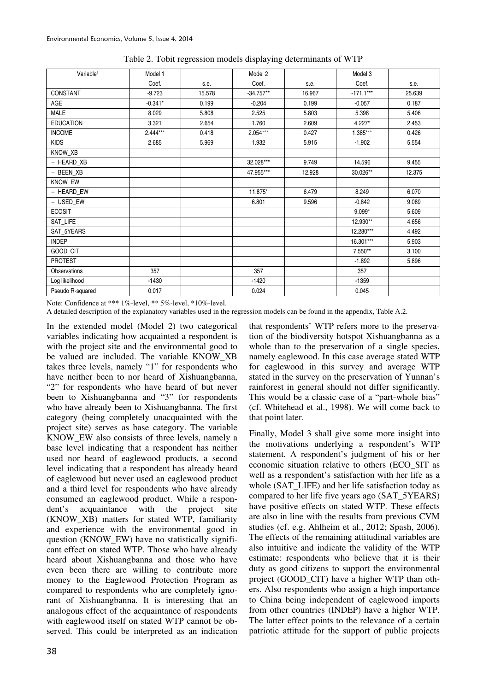| Variable <sup>1</sup> | Model 1    |        | Model 2     |        | Model 3     |        |
|-----------------------|------------|--------|-------------|--------|-------------|--------|
|                       | Coef.      | s.e.   | Coef.       | s.e.   | Coef.       | s.e.   |
| CONSTANT              | $-9.723$   | 15.578 | $-34.757**$ | 16.967 | $-171.1***$ | 25.639 |
| AGE                   | $-0.341*$  | 0.199  | $-0.204$    | 0.199  | $-0.057$    | 0.187  |
| <b>MALE</b>           | 8.029      | 5.808  | 2.525       | 5.803  | 5.398       | 5.406  |
| <b>EDUCATION</b>      | 3.321      | 2.654  | 1.760       | 2.609  | $4.227*$    | 2.453  |
| <b>INCOME</b>         | $2.444***$ | 0.418  | 2.054***    | 0.427  | 1.385***    | 0.426  |
| <b>KIDS</b>           | 2.685      | 5.969  | 1.932       | 5.915  | $-1.902$    | 5.554  |
| KNOW_XB               |            |        |             |        |             |        |
| - HEARD_XB            |            |        | 32.028***   | 9.749  | 14.596      | 9.455  |
| - BEEN_XB             |            |        | 47.955***   | 12.928 | 30.026**    | 12.375 |
| KNOW_EW               |            |        |             |        |             |        |
| - HEARD_EW            |            |        | 11.875*     | 6.479  | 8.249       | 6.070  |
| - USED_EW             |            |        | 6.801       | 9.596  | $-0.842$    | 9.089  |
| <b>ECOSIT</b>         |            |        |             |        | $9.099*$    | 5.609  |
| SAT_LIFE              |            |        |             |        | 12.930**    | 4.656  |
| SAT_5YEARS            |            |        |             |        | 12.280***   | 4.492  |
| <b>INDEP</b>          |            |        |             |        | 16.301***   | 5.903  |
| GOOD_CIT              |            |        |             |        | 7.550**     | 3.100  |
| <b>PROTEST</b>        |            |        |             |        | $-1.892$    | 5.896  |
| <b>Observations</b>   | 357        |        | 357         |        | 357         |        |
| Log likelihood        | $-1430$    |        | $-1420$     |        | $-1359$     |        |
| Pseudo R-squared      | 0.017      |        | 0.024       |        | 0.045       |        |

Table 2. Tobit regression models displaying determinants of WTP

Note: Confidence at \*\*\* 1%-level, \*\* 5%-level, \*10%-level.

A detailed description of the explanatory variables used in the regression models can be found in the appendix, Table A.2.

In the extended model (Model 2) two categorical variables indicating how acquainted a respondent is with the project site and the environmental good to be valued are included. The variable KNOW\_XB takes three levels, namely "1" for respondents who have neither been to nor heard of Xishuangbanna, "2" for respondents who have heard of but never been to Xishuangbanna and "3" for respondents who have already been to Xishuangbanna. The first category (being completely unacquainted with the project site) serves as base category. The variable KNOW\_EW also consists of three levels, namely a base level indicating that a respondent has neither used nor heard of eaglewood products, a second level indicating that a respondent has already heard of eaglewood but never used an eaglewood product and a third level for respondents who have already consumed an eaglewood product. While a respondent's acquaintance with the project site (KNOW\_XB) matters for stated WTP, familiarity and experience with the environmental good in question (KNOW\_EW) have no statistically significant effect on stated WTP. Those who have already heard about Xishuangbanna and those who have even been there are willing to contribute more money to the Eaglewood Protection Program as compared to respondents who are completely ignorant of Xishuangbanna. It is interesting that an analogous effect of the acquaintance of respondents with eaglewood itself on stated WTP cannot be observed. This could be interpreted as an indication

that respondents' WTP refers more to the preservation of the biodiversity hotspot Xishuangbanna as a whole than to the preservation of a single species, namely eaglewood. In this case average stated WTP for eaglewood in this survey and average WTP stated in the survey on the preservation of Yunnan's rainforest in general should not differ significantly. This would be a classic case of a "part-whole bias" (cf. Whitehead et al., 1998). We will come back to that point later.

Finally, Model 3 shall give some more insight into the motivations underlying a respondent's WTP statement. A respondent's judgment of his or her economic situation relative to others (ECO\_SIT as well as a respondent's satisfaction with her life as a whole (SAT LIFE) and her life satisfaction today as compared to her life five years ago (SAT\_5YEARS) have positive effects on stated WTP. These effects are also in line with the results from previous CVM studies (cf. e.g. Ahlheim et al., 2012; Spash, 2006). The effects of the remaining attitudinal variables are also intuitive and indicate the validity of the WTP estimate: respondents who believe that it is their duty as good citizens to support the environmental project (GOOD\_CIT) have a higher WTP than others. Also respondents who assign a high importance to China being independent of eaglewood imports from other countries (INDEP) have a higher WTP. The latter effect points to the relevance of a certain patriotic attitude for the support of public projects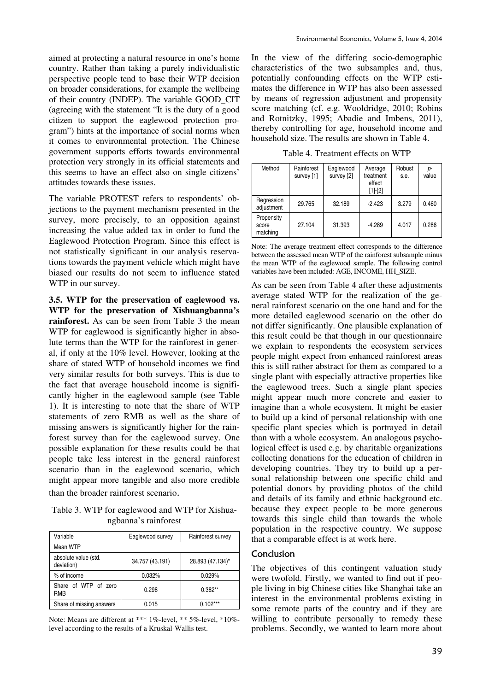aimed at protecting a natural resource in one's home country. Rather than taking a purely individualistic perspective people tend to base their WTP decision on broader considerations, for example the wellbeing of their country (INDEP). The variable GOOD\_CIT (agreeing with the statement "It is the duty of a good citizen to support the eaglewood protection program") hints at the importance of social norms when it comes to environmental protection. The Chinese government supports efforts towards environmental protection very strongly in its official statements and this seems to have an effect also on single citizens' attitudes towards these issues.

The variable PROTEST refers to respondents' objections to the payment mechanism presented in the survey, more precisely, to an opposition against increasing the value added tax in order to fund the Eaglewood Protection Program. Since this effect is not statistically significant in our analysis reservations towards the payment vehicle which might have biased our results do not seem to influence stated WTP in our survey.

**3.5. WTP for the preservation of eaglewood vs. WTP for the preservation of Xishuangbanna's rainforest.** As can be seen from Table 3 the mean WTP for eaglewood is significantly higher in absolute terms than the WTP for the rainforest in general, if only at the 10% level. However, looking at the share of stated WTP of household incomes we find very similar results for both surveys. This is due to the fact that average household income is significantly higher in the eaglewood sample (see Table 1). It is interesting to note that the share of WTP statements of zero RMB as well as the share of missing answers is significantly higher for the rainforest survey than for the eaglewood survey. One possible explanation for these results could be that people take less interest in the general rainforest scenario than in the eaglewood scenario, which might appear more tangible and also more credible than the broader rainforest scenario.

Table 3. WTP for eaglewood and WTP for Xishuangbanna's rainforest

| Variable                           | Eaglewood survey | Rainforest survey |
|------------------------------------|------------------|-------------------|
| Mean WTP                           |                  |                   |
| absolute value (std.<br>deviation) | 34.757 (43.191)  | 28.893 (47.134)*  |
| % of income                        | 0.032%           | 0.029%            |
| Share of WTP of zero<br><b>RMB</b> | 0.298            | $0.382**$         |
| Share of missing answers           | 0.015            | $0.102***$        |

Note: Means are different at \*\*\* 1%-level, \*\* 5%-level, \*10% level according to the results of a Kruskal-Wallis test.

In the view of the differing socio-demographic characteristics of the two subsamples and, thus, potentially confounding effects on the WTP estimates the difference in WTP has also been assessed by means of regression adjustment and propensity score matching (cf. e.g. Wooldridge, 2010; Robins and Rotnitzky, 1995; Abadie and Imbens, 2011), thereby controlling for age, household income and household size. The results are shown in Table 4.

Table 4. Treatment effects on WTP

| Method                          | Rainforest<br>survey [1] | Eaglewood<br>survey [2] | Average<br>treatment<br>effect<br>$[1]$ - $[2]$ | Robust<br>s.e. | p-<br>value |
|---------------------------------|--------------------------|-------------------------|-------------------------------------------------|----------------|-------------|
| Regression<br>adjustment        | 29.765                   | 32.189                  | $-2.423$                                        | 3.279          | 0.460       |
| Propensity<br>score<br>matching | 27.104                   | 31.393                  | $-4.289$                                        | 4.017          | 0.286       |

Note: The average treatment effect corresponds to the difference between the assessed mean WTP of the rainforest subsample minus the mean WTP of the eaglewood sample. The following control variables have been included: AGE, INCOME, HH\_SIZE.

As can be seen from Table 4 after these adjustments average stated WTP for the realization of the general rainforest scenario on the one hand and for the more detailed eaglewood scenario on the other do not differ significantly. One plausible explanation of this result could be that though in our questionnaire we explain to respondents the ecosystem services people might expect from enhanced rainforest areas this is still rather abstract for them as compared to a single plant with especially attractive properties like the eaglewood trees. Such a single plant species might appear much more concrete and easier to imagine than a whole ecosystem. It might be easier to build up a kind of personal relationship with one specific plant species which is portrayed in detail than with a whole ecosystem. An analogous psychological effect is used e.g. by charitable organizations collecting donations for the education of children in developing countries. They try to build up a personal relationship between one specific child and potential donors by providing photos of the child and details of its family and ethnic background etc. because they expect people to be more generous towards this single child than towards the whole population in the respective country. We suppose that a comparable effect is at work here.

#### Conclusion

The objectives of this contingent valuation study were twofold. Firstly, we wanted to find out if people living in big Chinese cities like Shanghai take an interest in the environmental problems existing in some remote parts of the country and if they are willing to contribute personally to remedy these problems. Secondly, we wanted to learn more about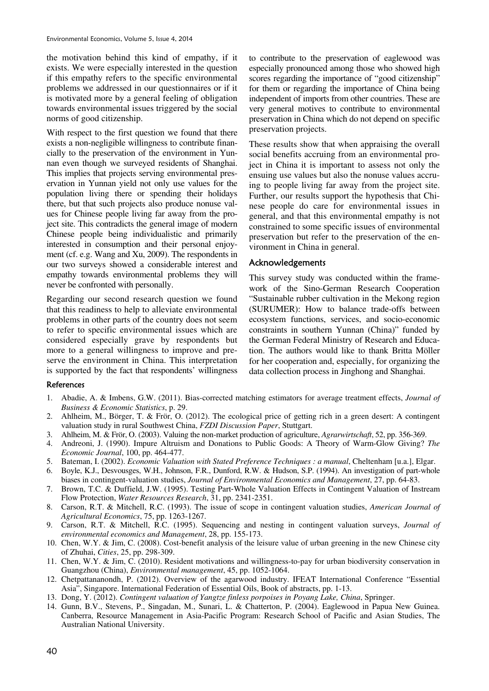the motivation behind this kind of empathy, if it exists. We were especially interested in the question if this empathy refers to the specific environmental problems we addressed in our questionnaires or if it is motivated more by a general feeling of obligation towards environmental issues triggered by the social norms of good citizenship.

With respect to the first question we found that there exists a non-negligible willingness to contribute financially to the preservation of the environment in Yunnan even though we surveyed residents of Shanghai. This implies that projects serving environmental preservation in Yunnan yield not only use values for the population living there or spending their holidays there, but that such projects also produce nonuse values for Chinese people living far away from the project site. This contradicts the general image of modern Chinese people being individualistic and primarily interested in consumption and their personal enjoyment (cf. e.g. Wang and Xu, 2009). The respondents in our two surveys showed a considerable interest and empathy towards environmental problems they will never be confronted with personally.

Regarding our second research question we found that this readiness to help to alleviate environmental problems in other parts of the country does not seem to refer to specific environmental issues which are considered especially grave by respondents but more to a general willingness to improve and preserve the environment in China. This interpretation is supported by the fact that respondents' willingness

to contribute to the preservation of eaglewood was especially pronounced among those who showed high scores regarding the importance of "good citizenship" for them or regarding the importance of China being independent of imports from other countries. These are very general motives to contribute to environmental preservation in China which do not depend on specific preservation projects.

These results show that when appraising the overall social benefits accruing from an environmental project in China it is important to assess not only the ensuing use values but also the nonuse values accruing to people living far away from the project site. Further, our results support the hypothesis that Chinese people do care for environmental issues in general, and that this environmental empathy is not constrained to some specific issues of environmental preservation but refer to the preservation of the environment in China in general.

#### Acknowledgements

This survey study was conducted within the framework of the Sino-German Research Cooperation "Sustainable rubber cultivation in the Mekong region (SURUMER): How to balance trade-offs between ecosystem functions, services, and socio-economic constraints in southern Yunnan (China)" funded by the German Federal Ministry of Research and Education. The authors would like to thank Britta Möller for her cooperation and, especially, for organizing the data collection process in Jinghong and Shanghai.

#### References

- 1. Abadie, A. & Imbens, G.W. (2011). Bias-corrected matching estimators for average treatment effects, *Journal of Business & Economic Statistics*, p. 29.
- 2. Ahlheim, M., Börger, T. & Frör, O. (2012). The ecological price of getting rich in a green desert: A contingent valuation study in rural Southwest China, *FZDI Discussion Paper*, Stuttgart.
- 3. Ahlheim, M. & Frör, O. (2003). Valuing the non-market production of agriculture, *Agrarwirtschaft*, 52, pp. 356-369.
- 4. Andreoni, J. (1990). Impure Altruism and Donations to Public Goods: A Theory of Warm-Glow Giving? *The Economic Journal*, 100, pp. 464-477.
- 5. Bateman, I. (2002). *Economic Valuation with Stated Preference Techniques : a manual*, Cheltenham [u.a.], Elgar.
- 6. Boyle, K.J., Desvousges, W.H., Johnson, F.R., Dunford, R.W. & Hudson, S.P. (1994). An investigation of part-whole biases in contingent-valuation studies, *Journal of Environmental Economics and Management*, 27, pp. 64-83.
- 7. Brown, T.C. & Duffield, J.W. (1995). Testing Part-Whole Valuation Effects in Contingent Valuation of Instream Flow Protection, *Water Resources Research*, 31, pp. 2341-2351.
- 8. Carson, R.T. & Mitchell, R.C. (1993). The issue of scope in contingent valuation studies, *American Journal of Agricultural Economics*, 75, pp. 1263-1267.
- 9. Carson, R.T. & Mitchell, R.C. (1995). Sequencing and nesting in contingent valuation surveys, *Journal of environmental economics and Management*, 28, pp. 155-173.
- 10. Chen, W.Y. & Jim, C. (2008). Cost-benefit analysis of the leisure value of urban greening in the new Chinese city of Zhuhai, *Cities*, 25, pp. 298-309.
- 11. Chen, W.Y. & Jim, C. (2010). Resident motivations and willingness-to-pay for urban biodiversity conservation in Guangzhou (China), *Environmental management*, 45, pp. 1052-1064.
- 12. Chetpattananondh, P. (2012). Overview of the agarwood industry. IFEAT International Conference "Essential Asia", Singapore. International Federation of Essential Oils, Book of abstracts, pp. 1-13.
- 13. Dong, Y. (2012). *Contingent valuation of Yangtze finless porpoises in Poyang Lake, China*, Springer.
- 14. Gunn, B.V., Stevens, P., Singadan, M., Sunari, L. & Chatterton, P. (2004). Eaglewood in Papua New Guinea. Canberra, Resource Management in Asia-Pacific Program: Research School of Pacific and Asian Studies, The Australian National University.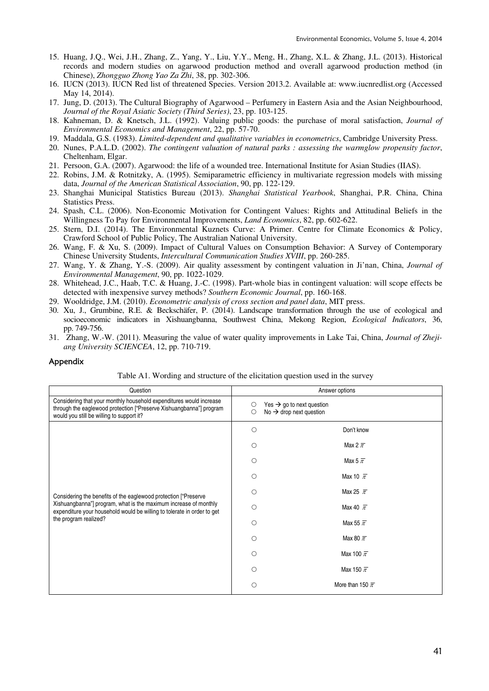- 15. Huang, J.Q., Wei, J.H., Zhang, Z., Yang, Y., Liu, Y.Y., Meng, H., Zhang, X.L. & Zhang, J.L. (2013). Historical records and modern studies on agarwood production method and overall agarwood production method (in Chinese), *Zhongguo Zhong Yao Za Zhi*, 38, pp. 302-306.
- 16. IUCN (2013). IUCN Red list of threatened Species. Version 2013.2. Available at: www.iucnredlist.org (Accessed May 14, 2014).
- 17. Jung, D. (2013). The Cultural Biography of Agarwood Perfumery in Eastern Asia and the Asian Neighbourhood, *Journal of the Royal Asiatic Society (Third Series)*, 23, pp. 103-125.
- 18. Kahneman, D. & Knetsch, J.L. (1992). Valuing public goods: the purchase of moral satisfaction, *Journal of Environmental Economics and Management*, 22, pp. 57-70.
- 19. Maddala, G.S. (1983). *Limited-dependent and qualitative variables in econometrics*, Cambridge University Press.
- 20. Nunes, P.A.L.D. (2002). *The contingent valuation of natural parks : assessing the warmglow propensity factor*, Cheltenham, Elgar.
- 21. Persoon, G.A. (2007). Agarwood: the life of a wounded tree. International Institute for Asian Studies (IIAS).
- 22. Robins, J.M. & Rotnitzky, A. (1995). Semiparametric efficiency in multivariate regression models with missing data, *Journal of the American Statistical Association*, 90, pp. 122-129.
- 23. Shanghai Municipal Statistics Bureau (2013). *Shanghai Statistical Yearbook*, Shanghai, P.R. China, China Statistics Press.
- 24. Spash, C.L. (2006). Non-Economic Motivation for Contingent Values: Rights and Attitudinal Beliefs in the Willingness To Pay for Environmental Improvements, *Land Economics*, 82, pp. 602-622.
- 25. Stern, D.I. (2014). The Environmental Kuznets Curve: A Primer. Centre for Climate Economics & Policy, Crawford School of Public Policy, The Australian National University.
- 26. Wang, F. & Xu, S. (2009). Impact of Cultural Values on Consumption Behavior: A Survey of Contemporary Chinese University Students, *Intercultural Communication Studies XVIII*, pp. 260-285.
- 27. Wang, Y. & Zhang, Y.-S. (2009). Air quality assessment by contingent valuation in Ji'nan, China, *Journal of Environmental Management*, 90, pp. 1022-1029.
- 28. Whitehead, J.C., Haab, T.C. & Huang, J.-C. (1998). Part-whole bias in contingent valuation: will scope effects be detected with inexpensive survey methods? *Southern Economic Journal*, pp. 160-168.
- 29. Wooldridge, J.M. (2010). *Econometric analysis of cross section and panel data*, MIT press.
- 30. Xu, J., Grumbine, R.E. & Beckschäfer, P. (2014). Landscape transformation through the use of ecological and socioeconomic indicators in Xishuangbanna, Southwest China, Mekong Region, *Ecological Indicators*, 36, pp. 749-756.
- 31. Zhang, W.-W. (2011). Measuring the value of water quality improvements in Lake Tai, China, *Journal of Zhejiang University SCIENCEA*, 12, pp. 710-719.

#### Appendix

|  | Table A1. Wording and structure of the elicitation question used in the survey |  |  |  |
|--|--------------------------------------------------------------------------------|--|--|--|
|  |                                                                                |  |  |  |

| Question                                                                                                                                                                                | Answer options                                                                                     |  |  |  |  |
|-----------------------------------------------------------------------------------------------------------------------------------------------------------------------------------------|----------------------------------------------------------------------------------------------------|--|--|--|--|
| Considering that your monthly household expenditures would increase<br>through the eaglewood protection ["Preserve Xishuangbanna"] program<br>would you still be willing to support it? | Yes $\rightarrow$ go to next question<br>$\circ$<br>No $\rightarrow$ drop next question<br>$\circ$ |  |  |  |  |
|                                                                                                                                                                                         | $\circ$<br>Don't know                                                                              |  |  |  |  |
|                                                                                                                                                                                         | Max 2 $\bar{\pi}$<br>O                                                                             |  |  |  |  |
|                                                                                                                                                                                         | Max 5 $\overline{\pi}$<br>$\bigcirc$                                                               |  |  |  |  |
|                                                                                                                                                                                         | Max 10 $\bar{\pi}$<br>Ο                                                                            |  |  |  |  |
| Considering the benefits of the eaglewood protection ["Preserve                                                                                                                         | Max 25 $\bar{\pi}$<br>Ο                                                                            |  |  |  |  |
| Xishuangbanna"] program, what is the maximum increase of monthly<br>expenditure your household would be willing to tolerate in order to get                                             | Max 40 $\bar{\pi}$<br>Ο                                                                            |  |  |  |  |
| the program realized?                                                                                                                                                                   | Max 55 $\bar{\pi}$<br>$\bigcirc$                                                                   |  |  |  |  |
|                                                                                                                                                                                         | Max 80 $\bar{\pi}$<br>$\bigcirc$                                                                   |  |  |  |  |
|                                                                                                                                                                                         | Max 100 $\overline{\pi}$<br>O                                                                      |  |  |  |  |
|                                                                                                                                                                                         | Max 150 $\overline{\pi}$<br>◯                                                                      |  |  |  |  |
|                                                                                                                                                                                         | More than 150 $\bar{\pi}$<br>$\bigcirc$                                                            |  |  |  |  |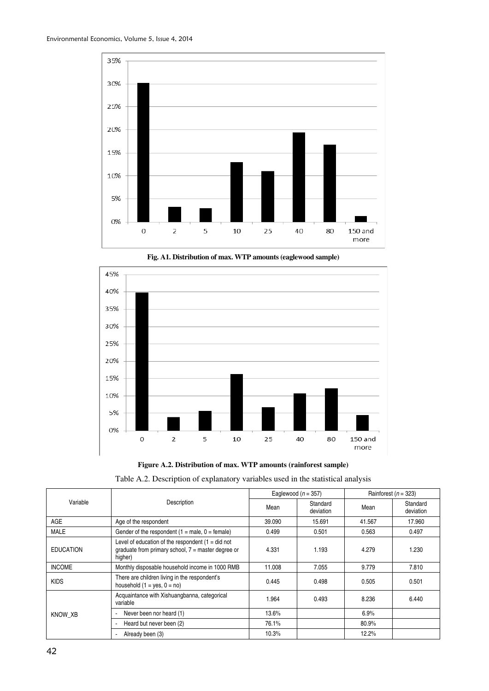





**Figure A.2. Distribution of max. WTP amounts (rainforest sample)** 

|  |  | Table A.2. Description of explanatory variables used in the statistical analysis |  |
|--|--|----------------------------------------------------------------------------------|--|
|  |  |                                                                                  |  |

|                  |                                                                                                                        | Eaglewood $(n = 357)$ |                       | Rainforest ( $n = 323$ ) |                       |
|------------------|------------------------------------------------------------------------------------------------------------------------|-----------------------|-----------------------|--------------------------|-----------------------|
| Variable         | Description                                                                                                            | Mean                  | Standard<br>deviation | Mean                     | Standard<br>deviation |
| AGE              | Age of the respondent                                                                                                  | 39.090                | 15.691                | 41.567                   | 17.960                |
| <b>MALE</b>      | Gender of the respondent $(1 = male, 0 = female)$                                                                      | 0.499                 | 0.501                 | 0.563                    | 0.497                 |
| <b>EDUCATION</b> | Level of education of the respondent $(1 = did not$<br>graduate from primary school, $7 =$ master degree or<br>higher) | 4.331                 | 1.193                 | 4.279                    | 1.230                 |
| <b>INCOME</b>    | Monthly disposable household income in 1000 RMB                                                                        | 11.008                | 7.055                 | 9.779                    | 7.810                 |
| <b>KIDS</b>      | There are children living in the respondent's<br>household $(1 = yes, 0 = no)$                                         | 0.445                 | 0.498                 | 0.505                    | 0.501                 |
|                  | Acquaintance with Xishuangbanna, categorical<br>variable                                                               | 1.964                 | 0.493                 | 8.236                    | 6.440                 |
| KNOW XB          | Never been nor heard (1)<br>$\blacksquare$                                                                             | 13.6%                 |                       | 6.9%                     |                       |
|                  | Heard but never been (2)<br>$\overline{a}$                                                                             | 76.1%                 |                       | 80.9%                    |                       |
|                  | Already been (3)<br>$\overline{\phantom{a}}$                                                                           | 10.3%                 |                       | 12.2%                    |                       |